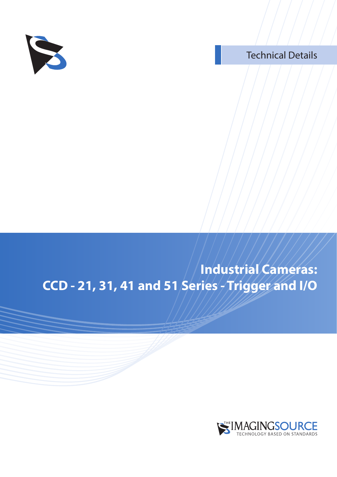

#### Technical Details

### **Industrial Cameras: CCD - 21, 31, 41 and 51 Series - Trigger and I/O**

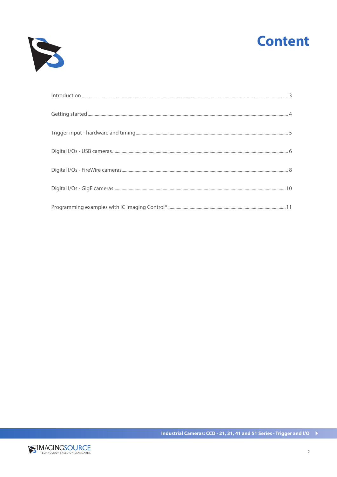



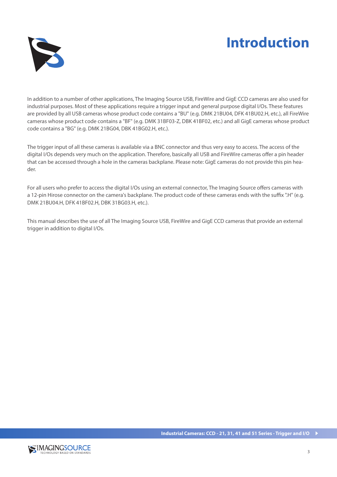### **Introduction**



In addition to a number of other applications, The Imaging Source USB, FireWire and GigE CCD cameras are also used for industrial purposes. Most of these applications require a trigger input and general purpose digital I/Os. These features are provided by all USB cameras whose product code contains a "BU" (e.g. DMK 21BU04, DFK 41BU02.H, etc.), all FireWire cameras whose product code contains a "BF" (e.g. DMK 31BF03-Z, DBK 41BF02, etc.) and all GigE cameras whose product code contains a "BG" (e.g. DMK 21BG04, DBK 41BG02.H, etc.).

The trigger input of all these cameras is available via a BNC connector and thus very easy to access. The access of the digital I/Os depends very much on the application. Therefore, basically all USB and FireWire cameras offer a pin header that can be accessed through a hole in the cameras backplane. Please note: GigE cameras do not provide this pin header.

For all users who prefer to access the digital I/Os using an external connector, The Imaging Source offers cameras with a 12-pin Hirose connector on the camera's backplane. The product code of these cameras ends with the suffix ".H" (e.g. DMK 21BU04.H, DFK 41BF02.H, DBK 31BG03.H, etc.).

This manual describes the use of all The Imaging Source USB, FireWire and GigE CCD cameras that provide an external trigger in addition to digital I/Os.

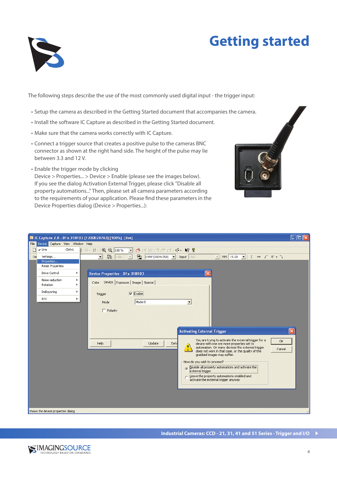

## **Getting started**

The following steps describe the use of the most commonly used digital input - the trigger input:

- Setup the camera as described in the Getting Started document that accompanies the camera.
- Install the software IC Capture as described in the Getting Started document.
- Make sure that the camera works correctly with IC Capture.
- Connect a trigger source that creates a positive pulse to the cameras BNC connector as shown at the right hand side. The height of the pulse may lie between 3.3 and 12 V.
- Enable the trigger mode by clicking

Device > Properties... > Device > Enable (please see the images below). If you see the dialog Activation External Trigger, please click "Disable all property automations..." Then, please set all camera parameters according to the requirements of your application. Please find these parameters in the Device Properties dialog (Device > Properties...):

| <b>8</b> IC Capture 2.0 - DFx 31BF03 (1200B28763) [100%] [live]<br>IО |                                                        |                                     |                                                                                                                                                                                                                                                                                                                                                                                                           |  |  |  |  |  |  |  |
|-----------------------------------------------------------------------|--------------------------------------------------------|-------------------------------------|-----------------------------------------------------------------------------------------------------------------------------------------------------------------------------------------------------------------------------------------------------------------------------------------------------------------------------------------------------------------------------------------------------------|--|--|--|--|--|--|--|
| File Device Capture View Window Help                                  |                                                        |                                     |                                                                                                                                                                                                                                                                                                                                                                                                           |  |  |  |  |  |  |  |
| $\sqrt{}$ Live<br>$\Box$                                              |                                                        | Ctrl+L                              | GB + H + Q Q 100 %<br><b>B</b> F E C C C K <b>R</b> ?<br>$\blacksquare$                                                                                                                                                                                                                                                                                                                                   |  |  |  |  |  |  |  |
| De                                                                    | Settings                                               |                                     | <b>PAL</b><br>NTSC<br>UYVY (1024x768)   Input - NA -<br>FPS 15.00 $\bullet$ 1 $\leftrightarrow$ $\uparrow$ 0 $\bullet$ $\uparrow$<br>$\blacksquare$<br>$- NA -$<br>$\vert \nabla \vert$<br>$\vert \nabla \vert$                                                                                                                                                                                           |  |  |  |  |  |  |  |
|                                                                       | Properties<br><b>Reset Properties</b>                  |                                     |                                                                                                                                                                                                                                                                                                                                                                                                           |  |  |  |  |  |  |  |
|                                                                       |                                                        |                                     |                                                                                                                                                                                                                                                                                                                                                                                                           |  |  |  |  |  |  |  |
|                                                                       | Drive Control<br>Noise reduction<br>٠<br>Rotation<br>٠ | ٠                                   | $\overline{\mathsf{x}}$<br><b>Device Properties - DFx 31BF03</b>                                                                                                                                                                                                                                                                                                                                          |  |  |  |  |  |  |  |
|                                                                       |                                                        | Color Device Exposure Image Special |                                                                                                                                                                                                                                                                                                                                                                                                           |  |  |  |  |  |  |  |
|                                                                       | DeBayering                                             | ٠                                   | $\nabla$ Enable<br>Trigger                                                                                                                                                                                                                                                                                                                                                                                |  |  |  |  |  |  |  |
|                                                                       | ROI.                                                   | ×                                   | Mode 0<br>Mode<br>$\overline{\phantom{0}}$                                                                                                                                                                                                                                                                                                                                                                |  |  |  |  |  |  |  |
|                                                                       |                                                        |                                     | $\Gamma$ Polarity<br>$\overline{\mathsf{x}}$<br><b>Activating External Trigger</b><br>You are trying to activate the external trigger for a<br>$\alpha$                                                                                                                                                                                                                                                   |  |  |  |  |  |  |  |
|                                                                       |                                                        |                                     | Update<br>Defa<br>device with one ore more properties set to<br>Help<br>automation. On many devices the external trigger<br>Ţ)<br>Cancel<br>does not work in that case, or the quality of the<br>grabbed images may suffer.<br>How do you wish to proceed?<br>(a) Disable all property automations and activate the<br>Leave the property automations enabled and<br>activate the external trigger anyway |  |  |  |  |  |  |  |
|                                                                       | Shows the device properties dialog                     |                                     |                                                                                                                                                                                                                                                                                                                                                                                                           |  |  |  |  |  |  |  |

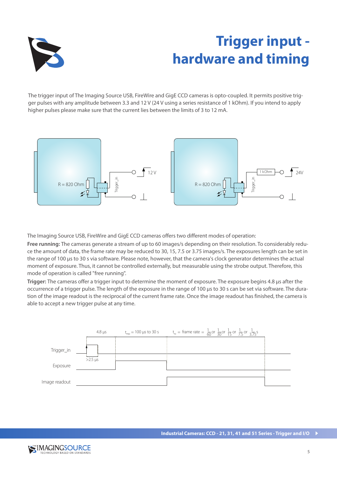

# **Trigger input hardware and timing**

The trigger input of The Imaging Source USB, FireWire and GigE CCD cameras is opto-coupled. It permits positive trigger pulses with any amplitude between 3.3 and 12 V (24 V using a series resistance of 1 kOhm). If you intend to apply higher pulses please make sure that the current lies between the limits of 3 to 12 mA.



The Imaging Source USB, FireWire and GigE CCD cameras offers two different modes of operation:

**Free running:** The cameras generate a stream of up to 60 images/s depending on their resolution. To considerably reduce the amount of data, the frame rate may be reduced to 30, 15, 7.5 or 3.75 images/s. The exposures length can be set in the range of 100 us to 30 s via software. Please note, however, that the camera's clock generator determines the actual moment of exposure. Thus, it cannot be controlled externally, but measurable using the strobe output. Therefore, this mode of operation is called "free running".

**Trigger:** The cameras offer a trigger input to determine the moment of exposure. The exposure begins 4.8 µs after the occurrence of a trigger pulse. The length of the exposure in the range of 100 µs to 30 s can be set via software. The duration of the image readout is the reciprocal of the current frame rate. Once the image readout has finished, the camera is able to accept a new trigger pulse at any time.



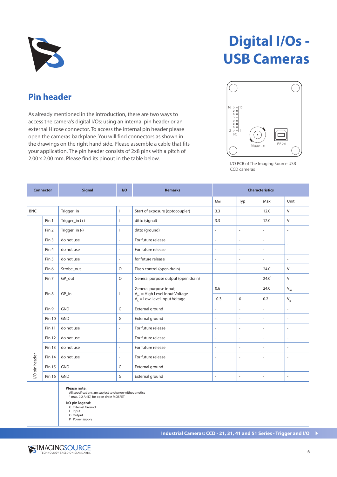

**Pin header**

As already mentioned in the introduction, there are two ways to access the camera's digital I/Os: using an internal pin header or an external Hirose connector. To access the internal pin header please open the cameras backplane. You will find connectors as shown in the drawings on the right hand side. Please assemble a cable that fits your application. The pin header consists of 2x8 pins with a pitch of

2.00 x 2.00 mm. Please find its pinout in the table below.

# **Digital I/Os -USB Cameras**



I/O PCB of The Imaging Source USB CCD cameras

#### **Connector Signal I/O Remarks Characteristics** Min | Typ | Max | Unit BNC Trigger\_in I Start of exposure (optocoupler) 3.3 12.0 V Pin 1 Trigger\_in (+) 1 ditto (signal) 3.3 12.0 V Pin 2  $\left| \text{Trigger\_in } (\cdot) \right|$  I ditto (ground)  $\left| \cdot \right|$  -  $\left| \cdot \right|$ Pin 3 do not use - For future release - - - - Pin 4 do not use - For future release - - - Pin 5 do not use  $\vert \cdot \vert$  for future release  $\vert \cdot \vert$  -  $\vert \cdot \vert$  -  $\vert \cdot \vert$ Pin 6 Strobe\_out O Flash control (open drain) 24.0¹ V Pin 7 GP out  $\overline{Q}$  General purpose output (open drain)  $\overline{Q}$  24.0<sup>1</sup> V General purpose input, 0.6  $V_{\text{H}}$  24.0  $V_{\text{H}}$  $Pin 8$  GP\_in I  $V_{\text{H}}$  = High Level Input Voltage  $V_{\parallel}$  = Low Level Input Voltage  $-0.3$  0 0.2  $V_{\text{II}}$ Pin 9 GND G External ground - - - - Pin 10 | GND | G | External ground | - | - | - | -Pin 11 do not use - For future release - - - - Pin 12 do not use - For future release - - - - Pin 13 do not use - For future release - - - - /O pin header I/O pin header Pin 14 do not use - For future release - - - - Pin 15 GND GND G G External ground  $\begin{vmatrix} 1 & 0 \\ 0 & 1 \end{vmatrix}$   $\begin{vmatrix} 1 & 0 \\ 0 & 1 \end{vmatrix}$   $\begin{vmatrix} 1 & 0 \\ 0 & 1 \end{vmatrix}$   $\begin{vmatrix} 1 & 0 \\ 0 & 1 \end{vmatrix}$   $\begin{vmatrix} 1 & 0 \\ 0 & 1 \end{vmatrix}$   $\begin{vmatrix} 1 & 0 \\ 0 & 1 \end{vmatrix}$   $\begin{vmatrix} 1 & 0 \\ 0 & 1 \end{vmatrix}$   $\begin{$ Pin 16 GND G External ground - - - -

**Please note:**

All specifications are subject to change without notice 1 max. 0.2 A (ID) for open drain MOSFET

**I/O pin legend:**

G External Ground

I Input

O Output P Power supply

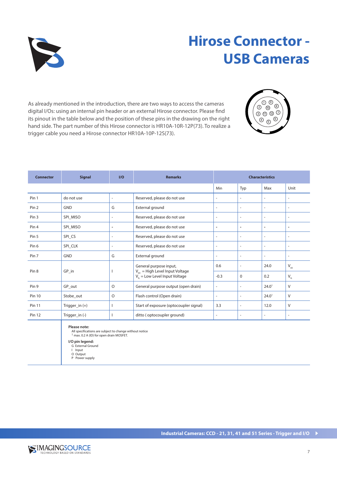

## **Hirose Connector - USB Cameras**

As already mentioned in the introduction, there are two ways to access the cameras digital I/Os: using an internal pin header or an external Hirose connector. Please find its pinout in the table below and the position of these pins in the drawing on the right hand side. The part number of this Hirose connector is HR10A-10R-12P(73). To realize a trigger cable you need a Hirose connector HR10A-10P-12S(73).



| <b>Signal</b><br><b>Connector</b> |                  | I/O                      | <b>Remarks</b>                                                                         | <b>Characteristics</b>   |                          |                          |                                                |
|-----------------------------------|------------------|--------------------------|----------------------------------------------------------------------------------------|--------------------------|--------------------------|--------------------------|------------------------------------------------|
|                                   |                  |                          |                                                                                        | Min                      | Typ                      | Max                      | Unit                                           |
| Pin 1                             | do not use       | $\overline{\phantom{a}}$ | Reserved, please do not use                                                            | $\overline{\phantom{a}}$ | $\overline{\phantom{a}}$ | $\overline{\phantom{a}}$ | $\overline{a}$                                 |
| Pin <sub>2</sub>                  | <b>GND</b>       | G                        | External ground                                                                        | $\overline{a}$           | $\overline{\phantom{a}}$ | $\overline{\phantom{a}}$ | $\overline{a}$                                 |
| Pin <sub>3</sub>                  | SPI_MISO         | $\overline{\phantom{a}}$ | Reserved, please do not use                                                            | $\overline{\phantom{a}}$ | $\overline{\phantom{a}}$ | $\overline{\phantom{a}}$ | $\overline{\phantom{a}}$                       |
| Pin <sub>4</sub>                  | SPI_MISO         | $\overline{\phantom{a}}$ | Reserved, please do not use                                                            | $\overline{\phantom{a}}$ | $\overline{\phantom{a}}$ | $\blacksquare$           | $\overline{\phantom{a}}$                       |
| Pin 5                             | SPI_CS           | $\overline{\phantom{a}}$ | Reserved, please do not use                                                            | $\overline{\phantom{a}}$ | $\overline{\phantom{a}}$ | $\overline{\phantom{a}}$ | $\overline{\phantom{a}}$                       |
| Pin <sub>6</sub>                  | SPI_CLK          | $\bar{\phantom{a}}$      | Reserved, please do not use                                                            | $\overline{\phantom{a}}$ | $\overline{\phantom{a}}$ | $\overline{\phantom{a}}$ | $\sim$                                         |
| Pin 7                             | <b>GND</b>       | G                        | External ground                                                                        | $\overline{\phantom{a}}$ | $\overline{\phantom{a}}$ | $\equiv$                 | $\sim$                                         |
|                                   | $GP_in$          |                          | General purpose input,                                                                 | 0.6                      | $\overline{\phantom{a}}$ | 24.0                     | $\mathsf{V}_{\scriptscriptstyle\mathsf{IH}}$   |
| Pin <sub>8</sub>                  |                  |                          | $V_{\text{H}}$ = High Level Input Voltage<br>$V_{\parallel}$ = Low Level Input Voltage | $-0.3$                   | $\Omega$                 | 0.2                      | $\mathsf{V}_{\scriptscriptstyle{\mathsf{IL}}}$ |
| Pin <sub>9</sub>                  | GP_out           | $\circ$                  | General purpose output (open drain)                                                    | $\overline{\phantom{a}}$ | $\overline{\phantom{a}}$ | 24.0 <sup>1</sup>        | V                                              |
| <b>Pin 10</b>                     | Stobe_out        | $\circ$                  | Flash control (Open drain)                                                             | $\overline{\phantom{a}}$ | $\overline{\phantom{a}}$ | 24.0 <sup>1</sup>        | V                                              |
| Pin 11                            | Trigger_in $(+)$ | $\mathbf{I}$             | Start of exposure (optocoupler signal)                                                 | 3.3                      | $\overline{\phantom{a}}$ | 12.0                     | V                                              |
| <b>Pin 12</b>                     | Trigger_in (-)   |                          | ditto (optocoupler ground)                                                             | $\overline{\phantom{a}}$ | $\overline{\phantom{a}}$ | $\overline{\phantom{a}}$ | $\sim$                                         |

#### **Please note:**

All specifications are subject to change without notice 1 max. 0.2 A (ID) for open drain MOSFET.

**I/O pin legend:** G External Ground

I Input

O Output P Power supply

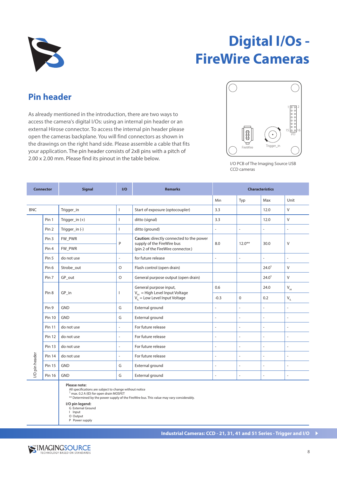

# **Digital I/Os - FireWire Cameras**

#### **Pin header**

As already mentioned in the introduction, there are two ways to access the camera's digital I/Os: using an internal pin header or an external Hirose connector. To access the internal pin header please open the cameras backplane. You will find connectors as shown in the drawings on the right hand side. Please assemble a cable that fits your application. The pin header consists of 2x8 pins with a pitch of 2.00 x 2.00 mm. Please find its pinout in the table below.



I/O PCB of The Imaging Source USB CCD cameras

| <b>Connector</b> |                  | <b>Signal</b>    | I/O            | <b>Remarks</b>                                                                                               | <b>Characteristics</b>   |                          |                          |                            |
|------------------|------------------|------------------|----------------|--------------------------------------------------------------------------------------------------------------|--------------------------|--------------------------|--------------------------|----------------------------|
|                  |                  |                  |                |                                                                                                              | Min                      | Typ                      | Max                      | Unit                       |
| <b>BNC</b>       |                  | Trigger_in       | $\mathbf{I}$   | Start of exposure (optocoupler)                                                                              | 3.3                      |                          | 12.0                     | $\vee$                     |
|                  | Pin 1            | Trigger_in $(+)$ | ı              | ditto (signal)                                                                                               | 3.3                      |                          | 12.0                     | $\vee$                     |
|                  | Pin <sub>2</sub> | Trigger_in(-)    |                | ditto (ground)                                                                                               | $\bar{a}$                | $\overline{\phantom{a}}$ | ٠                        | $\overline{a}$             |
|                  | Pin <sub>3</sub> | FW PWR           |                | Caution: directly connected to the power<br>supply of the FireWire bus<br>(pin 2 of the FireWire connector.) | 8.0                      | $12.0***$                | 30.0                     | $\vee$                     |
|                  | Pin <sub>4</sub> | FW_PWR           | P              |                                                                                                              |                          |                          |                          |                            |
|                  | Pin 5            | do not use       | $\overline{a}$ | for future release                                                                                           | $\overline{a}$           | $\sim$                   | $\overline{\phantom{a}}$ | $\overline{a}$             |
|                  | Pin <sub>6</sub> | Strobe_out       | O              | Flash control (open drain)                                                                                   |                          |                          | 24.0 <sup>1</sup>        | $\vee$                     |
|                  | Pin 7            | GP_out           | $\circ$        | General purpose output (open drain)                                                                          |                          |                          | 24.0 <sup>1</sup>        | $\vee$                     |
|                  | Pin <sub>8</sub> | GP in            |                | General purpose input,                                                                                       | 0.6                      |                          | 24.0                     | $V_{\text{H}}$             |
|                  |                  |                  | $\mathbf{I}$   | $V_{\text{H}}$ = High Level Input Voltage<br>$V_{\parallel}^{\prime\prime}$ = Low Level Input Voltage        | $-0.3$                   | $\mathbf 0$              | 0.2                      | $\mathsf{V}_{\mathsf{IL}}$ |
|                  | Pin <sub>9</sub> | <b>GND</b>       | G              | External ground                                                                                              | $\overline{\phantom{a}}$ | $\overline{a}$           | $\overline{\phantom{a}}$ | $\overline{\phantom{a}}$   |
|                  | <b>Pin 10</b>    | <b>GND</b>       | G              | External ground                                                                                              | $\overline{\phantom{a}}$ | $\sim$                   | $\overline{\phantom{a}}$ | $\sim$                     |
|                  | Pin 11           | do not use       | $\bar{a}$      | For future release                                                                                           | $\bar{a}$                | $\sim$                   | ÷,                       | $\overline{\phantom{a}}$   |
|                  | Pin 12           | do not use       | L.             | For future release                                                                                           | $\bar{a}$                | ÷,                       | ä,                       | $\sim$                     |
| //O pin header   | <b>Pin 13</b>    | do not use       | $\overline{a}$ | For future release                                                                                           | $\bar{a}$                | $\sim$                   | $\overline{\phantom{a}}$ | $\sim$                     |
|                  | <b>Pin 14</b>    | do not use       | L.             | For future release                                                                                           | $\overline{a}$           | ÷,                       | $\overline{\phantom{a}}$ | $\sim$                     |
|                  | Pin 15           | <b>GND</b>       | G              | External ground                                                                                              | $\overline{a}$           | $\sim$                   | $\overline{a}$           | $\overline{a}$             |
|                  | Pin 16           | <b>GND</b>       | G              | External ground                                                                                              | $\overline{a}$           | $\sim$                   | $\overline{a}$           | $\overline{a}$             |

#### **Please note:**

All specifications are subject to change without notice<br><sup>1</sup> max. 0.2 A (ID) for open drain MOSFET

\*\* Determined by the power supply of the FireWire bus. This value may vary considerably.

**I/O pin legend:**

G External Ground I Input

O Output P Power supply

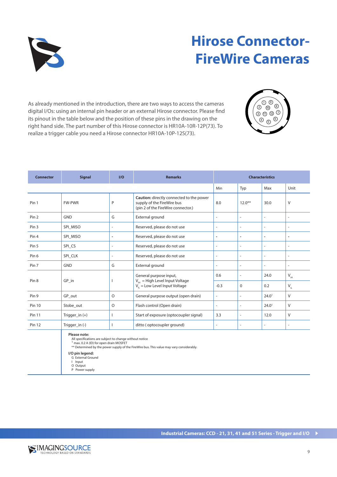

## **Hirose Connector-FireWire Cameras**

As already mentioned in the introduction, there are two ways to access the cameras digital I/Os: using an internal pin header or an external Hirose connector. Please find its pinout in the table below and the position of these pins in the drawing on the right hand side. The part number of this Hirose connector is HR10A-10R-12P(73). To realize a trigger cable you need a Hirose connector HR10A-10P-12S(73).



| <b>Connector</b> | <b>Signal</b>    | I/O                      | <b>Remarks</b>                                                                                                   | <b>Characteristics</b>   |                          |                          |                                              |
|------------------|------------------|--------------------------|------------------------------------------------------------------------------------------------------------------|--------------------------|--------------------------|--------------------------|----------------------------------------------|
|                  |                  |                          |                                                                                                                  | Min                      | Typ                      | Max                      | Unit                                         |
| Pin 1            | <b>FW-PWR</b>    | P                        | Caution: directly connected to the power<br>supply of the FireWire bus<br>(pin 2 of the FireWire connector.)     | 8.0                      | $12.0***$                | 30.0                     | V                                            |
| Pin <sub>2</sub> | <b>GND</b>       | G                        | External ground                                                                                                  | $\overline{\phantom{a}}$ | $\overline{\phantom{a}}$ | $\bar{\phantom{a}}$      | $\overline{a}$                               |
| Pin <sub>3</sub> | SPI MISO         | $\overline{\phantom{a}}$ | Reserved, please do not use                                                                                      | ÷,                       | $\overline{\phantom{0}}$ | $\overline{a}$           | $\overline{\phantom{a}}$                     |
| Pin <sub>4</sub> | SPI MISO         | $\overline{\phantom{a}}$ | Reserved, please do not use                                                                                      | $\overline{\phantom{a}}$ | $\overline{\phantom{a}}$ | $\overline{\phantom{a}}$ | ٠                                            |
| Pin 5            | SPI CS           | $\overline{\phantom{a}}$ | Reserved, please do not use                                                                                      | $\overline{\phantom{a}}$ | ÷.                       | $\sim$                   | $\bar{a}$                                    |
| Pin <sub>6</sub> | SPI CLK          | $\sim$                   | Reserved, please do not use                                                                                      | $\sim$                   | ÷.                       | $\sim$                   | $\overline{a}$                               |
| Pin 7            | <b>GND</b>       | G                        | External ground                                                                                                  | $\sim$                   | $\overline{\phantom{a}}$ |                          | $\bar{a}$                                    |
| Pin <sub>8</sub> | GP in            |                          | General purpose input,<br>$V_{\text{H}}$ = High Level Input Voltage<br>$V_{\parallel}$ = Low Level Input Voltage | 0.6                      | $\overline{a}$           | 24.0                     | $\mathsf{V}_{\scriptscriptstyle\mathsf{IH}}$ |
|                  |                  |                          |                                                                                                                  | $-0.3$                   | $\Omega$                 | 0.2                      | $\mathsf{V}_{_{\mathsf{IL}}}$                |
| Pin <sub>9</sub> | GP_out           | $\circ$                  | General purpose output (open drain)                                                                              | $\overline{\phantom{a}}$ | $\overline{\phantom{a}}$ | 24.0 <sup>1</sup>        | V                                            |
| <b>Pin 10</b>    | Stobe_out        | $\circ$                  | Flash control (Open drain)                                                                                       | $\sim$                   | $\overline{a}$           | 24.0 <sup>1</sup>        | V                                            |
| <b>Pin 11</b>    | Trigger_in $(+)$ |                          | Start of exposure (optocoupler signal)                                                                           | 3.3                      | $\overline{\phantom{a}}$ | 12.0                     | V                                            |
| <b>Pin 12</b>    | Trigger_in (-)   |                          | ditto (optocoupler ground)                                                                                       | $\sim$                   | ۰                        |                          | $\bar{a}$                                    |
|                  |                  |                          |                                                                                                                  |                          |                          |                          |                                              |

#### **Please note:**

All specifications are subject to change without notice

<sup>1</sup> max. 0.2 A (ID) for open drain MOSFET<br>\*\* Determined by the power supply of the FireWire bus. This value may vary considerably.

#### **I/O pin legend:**

- G External Ground I Input
- 
- O Output P Power supply

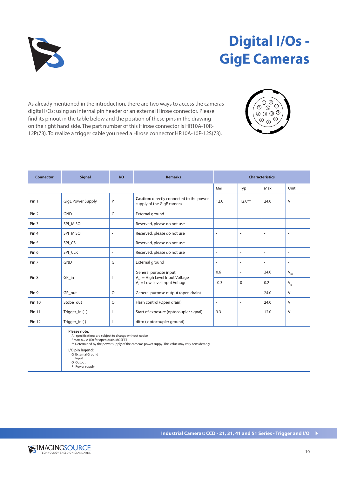

# **Digital I/Os - GigE Cameras**

As already mentioned in the introduction, there are two ways to access the cameras digital I/Os: using an internal pin header or an external Hirose connector. Please find its pinout in the table below and the position of these pins in the drawing on the right hand side. The part number of this Hirose connector is HR10A-10R-12P(73). To realize a trigger cable you need a Hirose connector HR10A-10P-12S(73).



| <b>Connector</b> | <b>Signal</b>            | I/O                      | <b>Remarks</b>                                                                                              | <b>Characteristics</b>   |                          |                          |                                                |
|------------------|--------------------------|--------------------------|-------------------------------------------------------------------------------------------------------------|--------------------------|--------------------------|--------------------------|------------------------------------------------|
|                  |                          |                          |                                                                                                             | Min                      | Typ                      | Max                      | Unit                                           |
| Pin 1            | <b>GigE Power Supply</b> | P                        | Caution: directly connected to the power<br>supply of the GigE camera                                       | 12.0                     | $12.0***$                | 24.0                     | V                                              |
| Pin <sub>2</sub> | <b>GND</b>               | G                        | External ground                                                                                             | ÷,                       | $\overline{\phantom{0}}$ | $\overline{\phantom{a}}$ | $\overline{\phantom{a}}$                       |
| Pin <sub>3</sub> | SPI MISO                 | $\overline{\phantom{a}}$ | Reserved, please do not use                                                                                 | $\overline{\phantom{a}}$ | $\overline{\phantom{a}}$ | $\overline{\phantom{a}}$ | $\bar{a}$                                      |
| Pin <sub>4</sub> | SPI MISO                 | $\overline{\phantom{a}}$ | Reserved, please do not use                                                                                 | $\overline{\phantom{a}}$ | ٠                        | $\overline{\phantom{a}}$ | ٠                                              |
| Pin 5            | SPI CS                   | $\overline{a}$           | Reserved, please do not use                                                                                 | $\overline{\phantom{a}}$ | $\overline{\phantom{a}}$ | $\overline{\phantom{a}}$ | $\overline{a}$                                 |
| Pin <sub>6</sub> | SPI CLK                  | $\equiv$                 | Reserved, please do not use                                                                                 | $\overline{\phantom{a}}$ | $\overline{a}$           | $\overline{\phantom{a}}$ | $\bar{\phantom{a}}$                            |
| Pin 7            | <b>GND</b>               | G                        | External ground                                                                                             | $\overline{\phantom{a}}$ | $\overline{\phantom{a}}$ | $\overline{\phantom{a}}$ | $\bar{\phantom{a}}$                            |
| Pin <sub>8</sub> | GP in                    |                          | General purpose input,<br>$V_{\mu}$ = High Level Input Voltage<br>$V_{\parallel}$ = Low Level Input Voltage | 0.6                      | $\overline{\phantom{a}}$ | 24.0                     | $\mathsf{V}_{\scriptscriptstyle{\mathsf{IH}}}$ |
|                  |                          |                          |                                                                                                             | $-0.3$                   | $\Omega$                 | 0.2                      | $V_{IL}$                                       |
| Pin <sub>9</sub> | GP out                   | O                        | General purpose output (open drain)                                                                         | $\overline{\phantom{a}}$ | $\overline{a}$           | 24.0 <sup>1</sup>        | V                                              |
| <b>Pin 10</b>    | Stobe_out                | O                        | Flash control (Open drain)                                                                                  | $\overline{\phantom{a}}$ | $\overline{a}$           | 24.0 <sup>1</sup>        | V                                              |
| <b>Pin 11</b>    | Trigger_in $(+)$         |                          | Start of exposure (optocoupler signal)                                                                      | 3.3                      | $\overline{\phantom{a}}$ | 12.0                     | $\vee$                                         |
| <b>Pin 12</b>    | Trigger_in (-)           |                          | ditto (optocoupler ground)                                                                                  | $\overline{\phantom{a}}$ | $\overline{\phantom{a}}$ | $\overline{\phantom{a}}$ | $\overline{\phantom{a}}$                       |
|                  |                          |                          |                                                                                                             |                          |                          |                          |                                                |

**Please note:**

All specifications are subject to change without notice<br><sup>1</sup> max. 0.2 A (ID) for open drain MOSFET<br>\*\* Determined by the power supply of the cameras power suppy. This value may vary considerably.

**I/O pin legend:**

- G External Ground
- I Input O Output
- P Power supply

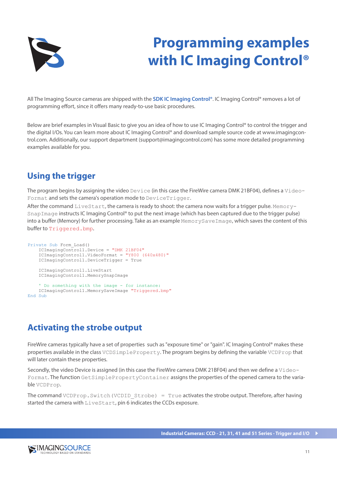

# **Programming examples with IC Imaging Control®**

All The Imaging Source cameras are shipped with the **SDK IC Imaging Control®**. IC Imaging Control® removes a lot of programming effort, since it offers many ready-to-use basic procedures.

Below are brief examples in Visual Basic to give you an idea of how to use IC Imaging Control® to control the trigger and the digital I/Os. You can learn more about IC Imaging Control® and download sample source code at www.imagingcontrol.com. Additionally, our support department (support@imagingcontrol.com) has some more detailed programming examples available for you.

#### **Using the trigger**

The program begins by assigning the video Device (in this case the FireWire camera DMK 21BF04), defines a Video-Format and sets the camera's operation mode to DeviceTrigger.

After the command LiveStart, the camera is ready to shoot: the camera now waits for a trigger pulse. Memory-SnapImage instructs IC Imaging Control® to put the next image (which has been captured due to the trigger pulse) into a buffer (Memory) for further processing. Take as an example MemorySaveImage, which saves the content of this buffer to Triggered.bmp.

```
Private Sub Form_Load()
     ICImagingControl1.Device = "DMK 21BF04"
     ICImagingControl1.VideoFormat = "Y800 (640x480)"
     ICImagingControl1.DeviceTrigger = True
     ICImagingControl1.LiveStart
     ICImagingControl1.MemorySnapImage
    ' Do something with the image - for instance:
     ICImagingControl1.MemorySaveImage "Triggered.bmp"
End Sub
```
#### **Activating the strobe output**

FireWire cameras typically have a set of properties such as "exposure time" or "gain". IC Imaging Control® makes these properties available in the class VCDSimpleProperty. The program begins by defining the variable VCDProp that will later contain these properties.

Secondly, the video Device is assigned (in this case the FireWire camera DMK 21BF04) and then we define a Video-Format. The function GetSimplePropertyContainer assigns the properties of the opened camera to the variable VCDProp.

The command VCDProp. Switch (VCDID Strobe) = True activates the strobe output. Therefore, after having started the camera with LiveStart, pin 6 indicates the CCDs exposure.

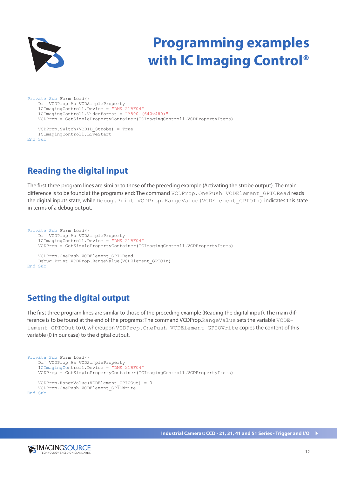

# **Programming examples with IC Imaging Control®**

```
Private Sub Form_Load()
    Dim VCDProp As VCDSimpleProperty
 ICImagingControl1.Device = "DMK 21BF04"
 ICImagingControl1.VideoFormat = "Y800 (640x480)"
    VCDProp = GetSimplePropertyContainer(ICImagingControl1.VCDPropertyItems)
    VCDProp.Switch(VCDID_Strobe) = True
```

```
 ICImagingControl1.LiveStart
End Sub
```
#### **Reading the digital input**

The first three program lines are similar to those of the preceding example (Activating the strobe output). The main difference is to be found at the programs end: The command VCDProp. OnePush VCDElement GPIORead reads the digital inputs state, while Debug. Print VCDProp. RangeValue (VCDElement GPIOIn) indicates this state in terms of a debug output.

```
Private Sub Form_Load()
     Dim VCDProp As VCDSimpleProperty
     ICImagingControl1.Device = "DMK 21BF04"
    VCDProp = GetSimplePropertyContainer(ICImagingControl1.VCDPropertyItems)
     VCDProp.OnePush VCDElement_GPIORead
     Debug.Print VCDProp.RangeValue(VCDElement_GPIOIn)
End Sub
```
#### **Setting the digital output**

The first three program lines are similar to those of the preceding example (Reading the digital input). The main difference is to be found at the end of the programs: The command VCDProp.RangeValue sets the variable VCDElement GPIOOut to 0, whereupon VCDProp. OnePush VCDElement GPIOWrite copies the content of this variable (0 in our case) to the digital output.

```
Private Sub Form_Load()
     Dim VCDProp As VCDSimpleProperty
     ICImagingControl1.Device = "DMK 21BF04"
    VCDProp = GetSimplePropertyContainer(ICImagingControl1.VCDPropertyItems)
     VCDProp.RangeValue(VCDElement_GPIOOut) = 0
     VCDProp.OnePush VCDElement_GPIOWrite
End Sub
```